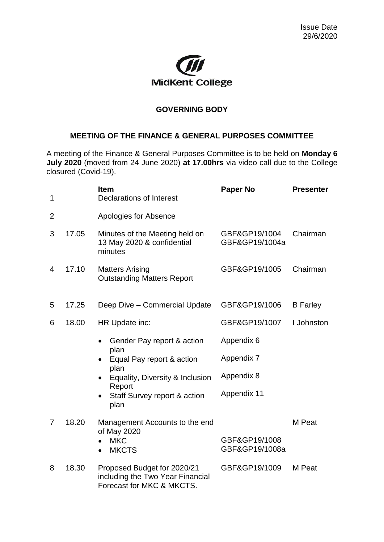

## **GOVERNING BODY**

## **MEETING OF THE FINANCE & GENERAL PURPOSES COMMITTEE**

A meeting of the Finance & General Purposes Committee is to be held on **Monday 6 July 2020** (moved from 24 June 2020) **at 17.00hrs** via video call due to the College closured (Covid-19).

| 1              |       | <b>Item</b><br><b>Declarations of Interest</b>                                               | <b>Paper No</b>                 | <b>Presenter</b> |
|----------------|-------|----------------------------------------------------------------------------------------------|---------------------------------|------------------|
| $\overline{2}$ |       | Apologies for Absence                                                                        |                                 |                  |
| 3              | 17.05 | Minutes of the Meeting held on<br>13 May 2020 & confidential<br>minutes                      | GBF&GP19/1004<br>GBF&GP19/1004a | Chairman         |
| $\overline{4}$ | 17.10 | <b>Matters Arising</b><br><b>Outstanding Matters Report</b>                                  | GBF&GP19/1005                   | Chairman         |
| 5              | 17.25 | Deep Dive - Commercial Update                                                                | GBF&GP19/1006                   | <b>B</b> Farley  |
| 6              | 18.00 | HR Update inc:                                                                               | GBF&GP19/1007                   | I Johnston       |
|                |       | Gender Pay report & action                                                                   | Appendix 6                      |                  |
|                |       | plan<br>Equal Pay report & action                                                            | Appendix 7                      |                  |
|                |       | plan<br>Equality, Diversity & Inclusion                                                      | Appendix 8                      |                  |
|                |       | Report<br>Staff Survey report & action<br>plan                                               | Appendix 11                     |                  |
| 7              | 18.20 | Management Accounts to the end                                                               |                                 | M Peat           |
|                |       | of May 2020<br><b>MKC</b><br><b>MKCTS</b>                                                    | GBF&GP19/1008<br>GBF&GP19/1008a |                  |
| 8              | 18.30 | Proposed Budget for 2020/21<br>including the Two Year Financial<br>Forecast for MKC & MKCTS. | GBF&GP19/1009                   | M Peat           |